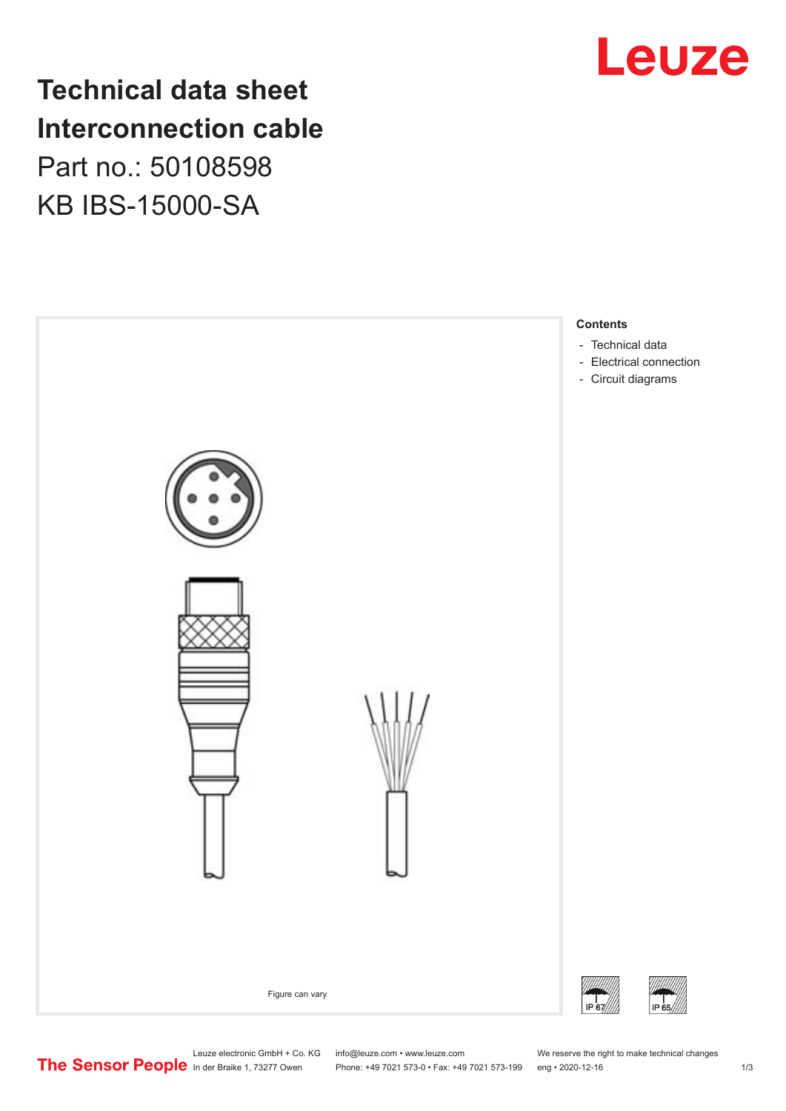# Leuze

**Technical data sheet Interconnection cable** Part no.: 50108598 KB IBS-15000-SA



Leuze electronic GmbH + Co. KG info@leuze.com • www.leuze.com We reserve the right to make technical changes<br>
The Sensor People in der Braike 1, 73277 Owen Phone: +49 7021 573-0 • Fax: +49 7021 573-199 eng • 2020-12-16

Phone: +49 7021 573-0 • Fax: +49 7021 573-199 eng • 2020-12-16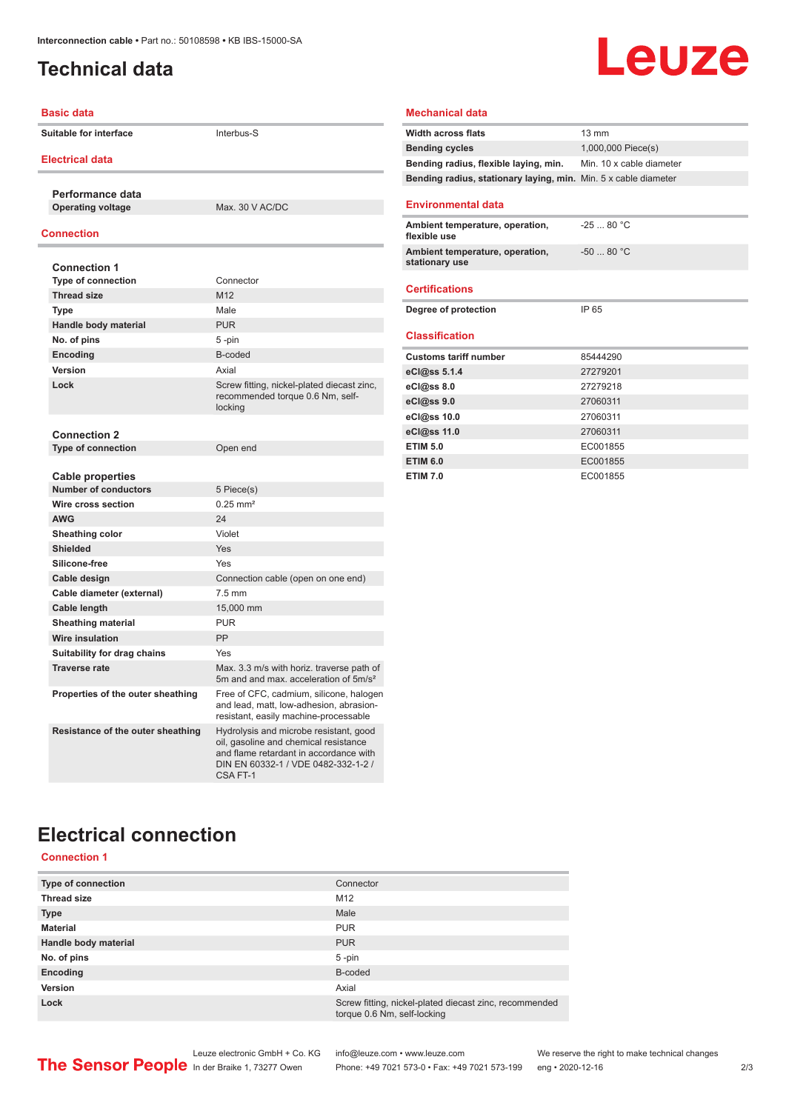## <span id="page-1-0"></span>**Technical data**

# Leuze

| <b>Basic data</b>                            |                                                                                                                                                                             | <b>Mechanical data</b>                       |
|----------------------------------------------|-----------------------------------------------------------------------------------------------------------------------------------------------------------------------------|----------------------------------------------|
| Suitable for interface                       | Interbus-S                                                                                                                                                                  | <b>Width across flats</b>                    |
|                                              |                                                                                                                                                                             | <b>Bending cycles</b>                        |
| <b>Electrical data</b>                       |                                                                                                                                                                             | Bending radius, flex                         |
|                                              |                                                                                                                                                                             | Bending radius, sta                          |
| Performance data<br><b>Operating voltage</b> | Max. 30 V AC/DC                                                                                                                                                             | <b>Environmental da</b>                      |
|                                              |                                                                                                                                                                             |                                              |
| <b>Connection</b>                            |                                                                                                                                                                             | <b>Ambient temperature</b><br>flexible use   |
| <b>Connection 1</b>                          |                                                                                                                                                                             | <b>Ambient temperature</b><br>stationary use |
| <b>Type of connection</b>                    | Connector                                                                                                                                                                   |                                              |
| <b>Thread size</b>                           | M12                                                                                                                                                                         | <b>Certifications</b>                        |
| <b>Type</b>                                  | Male                                                                                                                                                                        | Degree of protectio                          |
| Handle body material                         | <b>PUR</b>                                                                                                                                                                  |                                              |
| No. of pins                                  | 5-pin                                                                                                                                                                       | <b>Classification</b>                        |
| Encoding                                     | B-coded                                                                                                                                                                     | <b>Customs tariff num</b>                    |
| <b>Version</b>                               | Axial                                                                                                                                                                       | eCl@ss 5.1.4                                 |
| Lock                                         | Screw fitting, nickel-plated diecast zinc,                                                                                                                                  | eCl@ss 8.0                                   |
|                                              | recommended torque 0.6 Nm, self-                                                                                                                                            | eCl@ss 9.0                                   |
|                                              | locking                                                                                                                                                                     | eCl@ss 10.0                                  |
| <b>Connection 2</b>                          |                                                                                                                                                                             | eCl@ss 11.0                                  |
| <b>Type of connection</b>                    | Open end                                                                                                                                                                    | <b>ETIM 5.0</b>                              |
|                                              |                                                                                                                                                                             | <b>ETIM 6.0</b>                              |
| <b>Cable properties</b>                      |                                                                                                                                                                             | <b>ETIM 7.0</b>                              |
| <b>Number of conductors</b>                  | 5 Piece(s)                                                                                                                                                                  |                                              |
| Wire cross section                           | $0.25$ mm <sup>2</sup>                                                                                                                                                      |                                              |
| <b>AWG</b>                                   | 24                                                                                                                                                                          |                                              |
| <b>Sheathing color</b>                       | Violet                                                                                                                                                                      |                                              |
| <b>Shielded</b>                              | Yes                                                                                                                                                                         |                                              |
| Silicone-free                                | Yes                                                                                                                                                                         |                                              |
| Cable design                                 | Connection cable (open on one end)                                                                                                                                          |                                              |
| Cable diameter (external)                    | $7.5 \text{ mm}$                                                                                                                                                            |                                              |
| Cable length                                 | 15,000 mm                                                                                                                                                                   |                                              |
| <b>Sheathing material</b>                    | <b>PUR</b>                                                                                                                                                                  |                                              |
| <b>Wire insulation</b>                       | PP                                                                                                                                                                          |                                              |
| Suitability for drag chains                  | Yes                                                                                                                                                                         |                                              |
| <b>Traverse rate</b>                         | Max. 3.3 m/s with horiz. traverse path of<br>5m and and max. acceleration of 5m/s <sup>2</sup>                                                                              |                                              |
| Properties of the outer sheathing            | Free of CFC, cadmium, silicone, halogen<br>and lead, matt, low-adhesion, abrasion-<br>resistant, easily machine-processable                                                 |                                              |
| Resistance of the outer sheathing            | Hydrolysis and microbe resistant, good<br>oil, gasoline and chemical resistance<br>and flame retardant in accordance with<br>DIN EN 60332-1 / VDE 0482-332-1-2 /<br>CSAFT-1 |                                              |

#### **Mechanical data**

| <b>Width across flats</b>                                       | $13 \text{ mm}$          |
|-----------------------------------------------------------------|--------------------------|
| <b>Bending cycles</b>                                           | 1,000,000 Piece(s)       |
| Bending radius, flexible laying, min.                           | Min. 10 x cable diameter |
| Bending radius, stationary laying, min. Min. 5 x cable diameter |                          |
| <b>Environmental data</b>                                       |                          |
| Ambient temperature, operation,<br>flexible use                 | $-2580 °C$               |
| Ambient temperature, operation,<br>stationary use               | $-5080 °C$               |
| <b>Certifications</b>                                           |                          |
| Degree of protection                                            | IP 65                    |
| <b>Classification</b>                                           |                          |
| <b>Customs tariff number</b>                                    | 85444290                 |
| eCl@ss 5.1.4                                                    | 27279201                 |
| eCl@ss 8.0                                                      | 27279218                 |
| eCl@ss 9.0                                                      | 27060311                 |
| eCl@ss 10.0                                                     | 27060311                 |
| eCl@ss 11.0                                                     | 27060311                 |
| <b>ETIM 5.0</b>                                                 | EC001855                 |
| <b>ETIM 6.0</b>                                                 | EC001855                 |
| <b>ETIM 7.0</b>                                                 | EC001855                 |

# **Electrical connection**

**Connection 1**

| <b>Type of connection</b> | Connector                                                                             |
|---------------------------|---------------------------------------------------------------------------------------|
| <b>Thread size</b>        | M <sub>12</sub>                                                                       |
| <b>Type</b>               | Male                                                                                  |
| <b>Material</b>           | <b>PUR</b>                                                                            |
| Handle body material      | <b>PUR</b>                                                                            |
| No. of pins               | 5-pin                                                                                 |
| Encoding                  | B-coded                                                                               |
| Version                   | Axial                                                                                 |
| Lock                      | Screw fitting, nickel-plated diecast zinc, recommended<br>torque 0.6 Nm, self-locking |

Leuze electronic GmbH + Co. KG info@leuze.com • www.leuze.com We reserve the right to make technical changes ln der Braike 1, 73277 Owen Phone: +49 7021 573-0 • Fax: +49 7021 573-199 eng • 2020-12-16 2/3